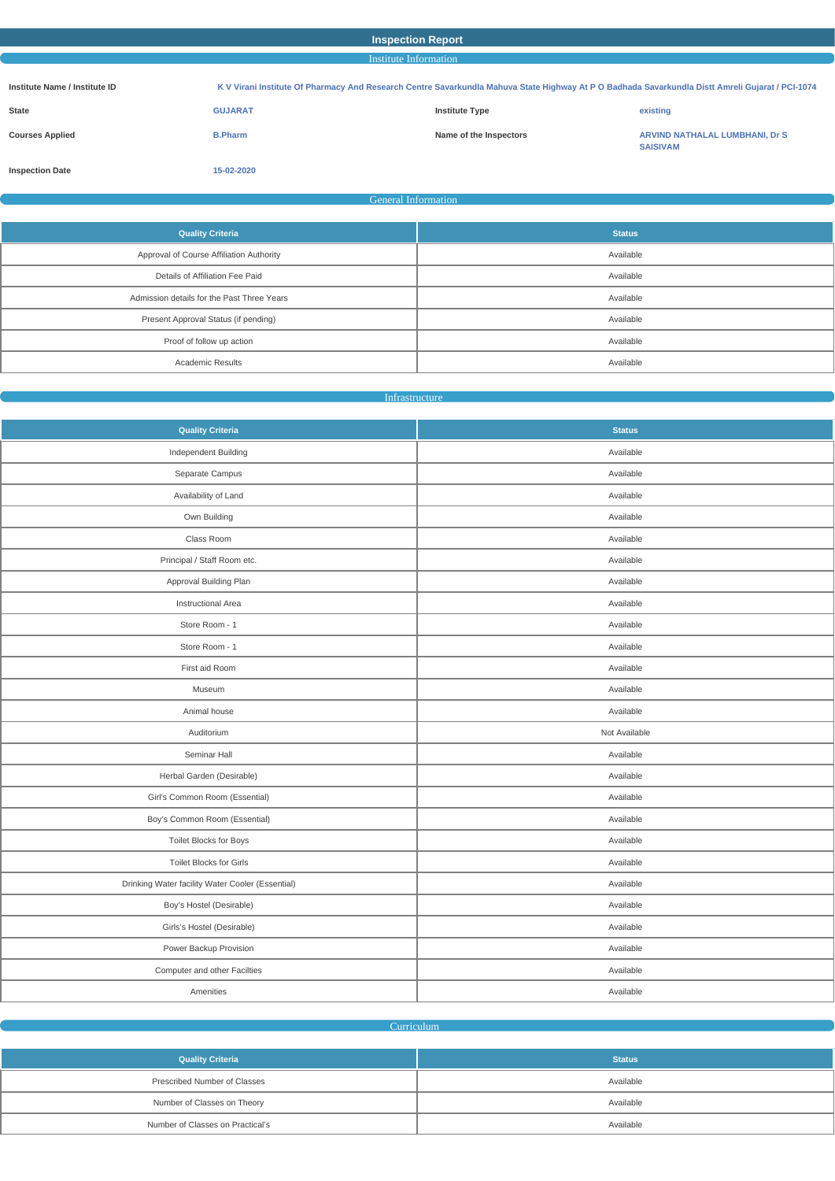| <b>Inspection Report</b>                                                                                                                                                          |                |                        |                                                          |
|-----------------------------------------------------------------------------------------------------------------------------------------------------------------------------------|----------------|------------------------|----------------------------------------------------------|
| <b>Institute Information</b>                                                                                                                                                      |                |                        |                                                          |
| K V Virani Institute Of Pharmacy And Research Centre Savarkundla Mahuva State Highway At P O Badhada Savarkundla Distt Amreli Gujarat / PCI-1074<br>Institute Name / Institute ID |                |                        |                                                          |
| <b>State</b>                                                                                                                                                                      | <b>GUJARAT</b> | <b>Institute Type</b>  | existing                                                 |
| <b>Courses Applied</b>                                                                                                                                                            | <b>B.Pharm</b> | Name of the Inspectors | <b>ARVIND NATHALAL LUMBHANI, Dr S</b><br><b>SAISIVAM</b> |
| <b>Inspection Date</b>                                                                                                                                                            | 15-02-2020     |                        |                                                          |

General Information

| <b>Quality Criteria</b>                    | <b>Status</b> |
|--------------------------------------------|---------------|
| Approval of Course Affiliation Authority   | Available     |
| Details of Affiliation Fee Paid            | Available     |
| Admission details for the Past Three Years | Available     |
| Present Approval Status (if pending)       | Available     |
| Proof of follow up action                  | Available     |
| <b>Academic Results</b>                    | Available     |

### **Infrastructure**

| <b>Quality Criteria</b>                          | <b>Status</b> |
|--------------------------------------------------|---------------|
| Independent Building                             | Available     |
| Separate Campus                                  | Available     |
| Availability of Land                             | Available     |
| Own Building                                     | Available     |
| Class Room                                       | Available     |
| Principal / Staff Room etc.                      | Available     |
| Approval Building Plan                           | Available     |
| Instructional Area                               | Available     |
| Store Room - 1                                   | Available     |
| Store Room - 1                                   | Available     |
| First aid Room                                   | Available     |
| Museum                                           | Available     |
| Animal house                                     | Available     |
| Auditorium                                       | Not Available |
| Seminar Hall                                     | Available     |
| Herbal Garden (Desirable)                        | Available     |
| Girl's Common Room (Essential)                   | Available     |
| Boy's Common Room (Essential)                    | Available     |
| Toilet Blocks for Boys                           | Available     |
| Toilet Blocks for Girls                          | Available     |
| Drinking Water facility Water Cooler (Essential) | Available     |
| Boy's Hostel (Desirable)                         | Available     |
| Girls's Hostel (Desirable)                       | Available     |
| Power Backup Provision                           | Available     |
| Computer and other Facilties                     | Available     |
| Amenities                                        | Available     |

Curriculum

| <b>Quality Criteria</b>          | <b>Status</b> |
|----------------------------------|---------------|
| Prescribed Number of Classes     | Available     |
| Number of Classes on Theory      | Available     |
| Number of Classes on Practical's | Available     |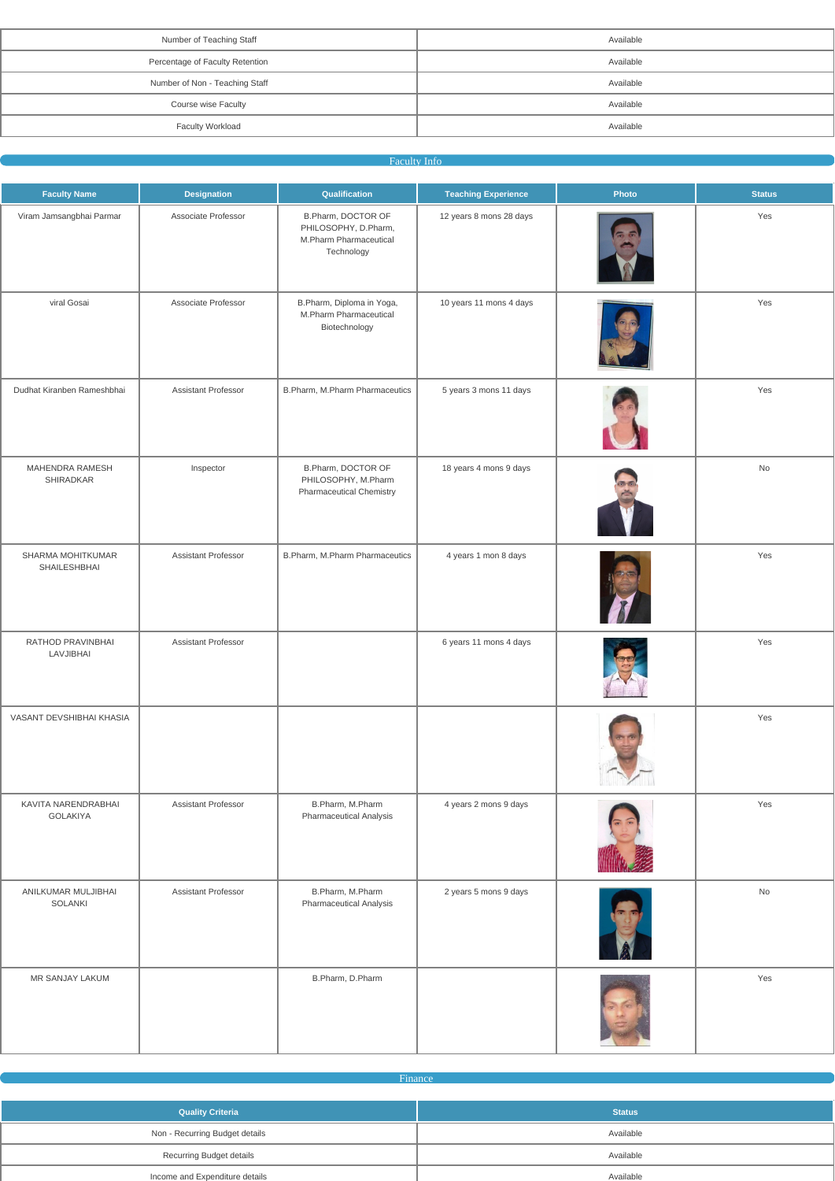| Number of Teaching Staff        | Available |
|---------------------------------|-----------|
| Percentage of Faculty Retention | Available |
| Number of Non - Teaching Staff  | Available |
| Course wise Faculty             | Available |
| <b>Faculty Workload</b>         | Available |
|                                 |           |

# Faculty Info

| <b>Faculty Name</b>                    | <b>Designation</b>         | Qualification                                                                      | <b>Teaching Experience</b> | Photo | <b>Status</b> |
|----------------------------------------|----------------------------|------------------------------------------------------------------------------------|----------------------------|-------|---------------|
| Viram Jamsangbhai Parmar               | Associate Professor        | B.Pharm, DOCTOR OF<br>PHILOSOPHY, D.Pharm,<br>M.Pharm Pharmaceutical<br>Technology | 12 years 8 mons 28 days    |       | Yes           |
| viral Gosai                            | Associate Professor        | B.Pharm, Diploma in Yoga,<br>M.Pharm Pharmaceutical<br>Biotechnology               | 10 years 11 mons 4 days    |       | Yes           |
| Dudhat Kiranben Rameshbhai             | <b>Assistant Professor</b> | B.Pharm, M.Pharm Pharmaceutics                                                     | 5 years 3 mons 11 days     |       | Yes           |
| MAHENDRA RAMESH<br><b>SHIRADKAR</b>    | Inspector                  | B.Pharm, DOCTOR OF<br>PHILOSOPHY, M.Pharm<br><b>Pharmaceutical Chemistry</b>       | 18 years 4 mons 9 days     |       | No            |
| SHARMA MOHITKUMAR<br>SHAILESHBHAI      | <b>Assistant Professor</b> | B.Pharm, M.Pharm Pharmaceutics                                                     | 4 years 1 mon 8 days       |       | Yes           |
| RATHOD PRAVINBHAI<br>LAVJIBHAI         | Assistant Professor        |                                                                                    | 6 years 11 mons 4 days     |       | Yes           |
| VASANT DEVSHIBHAI KHASIA               |                            |                                                                                    |                            |       | Yes           |
| KAVITA NARENDRABHAI<br><b>GOLAKIYA</b> | Assistant Professor        | B.Pharm, M.Pharm<br><b>Pharmaceutical Analysis</b>                                 | 4 years 2 mons 9 days      |       | Yes           |
| ANILKUMAR MULJIBHAI<br><b>SOLANKI</b>  | <b>Assistant Professor</b> | B.Pharm, M.Pharm<br><b>Pharmaceutical Analysis</b>                                 | 2 years 5 mons 9 days      |       | No            |
| MR SANJAY LAKUM                        |                            | B.Pharm, D.Pharm                                                                   |                            |       | Yes           |

| Finance                         |               |  |
|---------------------------------|---------------|--|
| <b>Quality Criteria</b>         | <b>Status</b> |  |
| Non - Recurring Budget details  | Available     |  |
| <b>Recurring Budget details</b> | Available     |  |
| Income and Expenditure details  | Available     |  |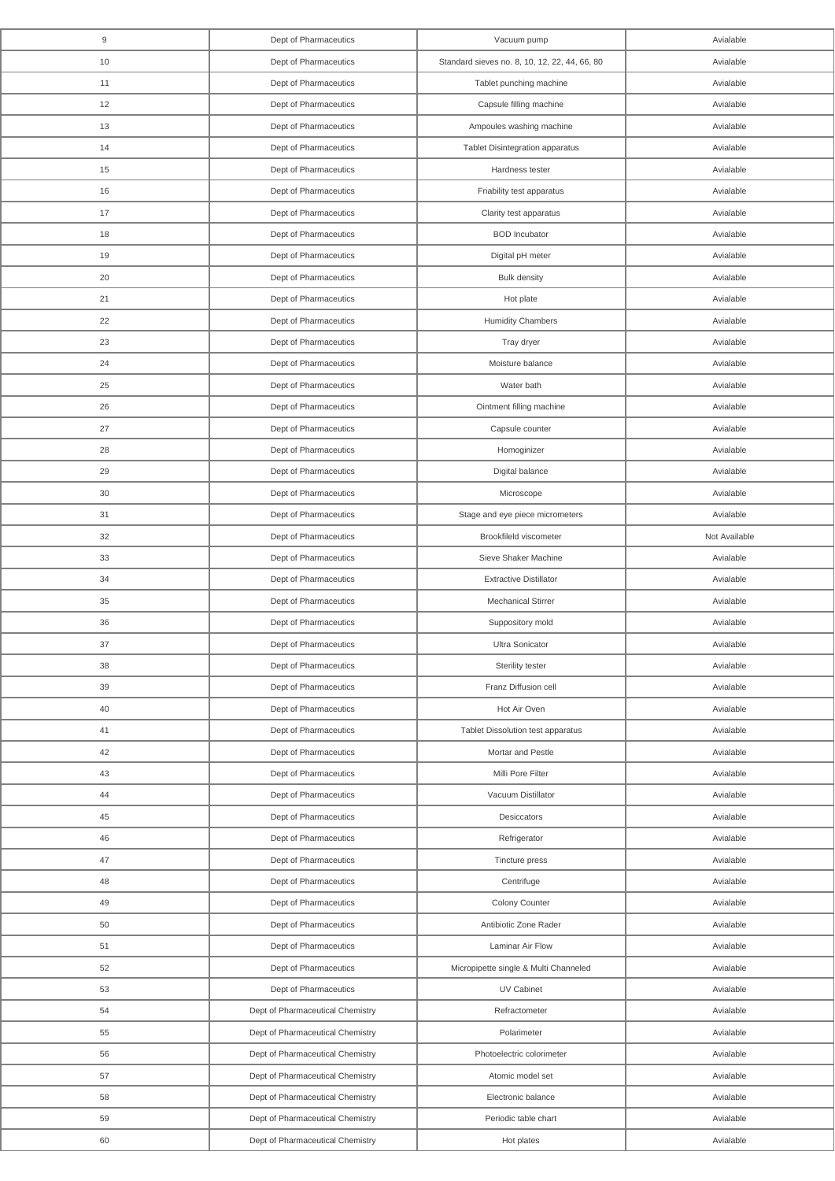| 9  | Dept of Pharmaceutics            | Vacuum pump                                   | Avialable     |
|----|----------------------------------|-----------------------------------------------|---------------|
| 10 | Dept of Pharmaceutics            | Standard sieves no. 8, 10, 12, 22, 44, 66, 80 | Avialable     |
| 11 | Dept of Pharmaceutics            | Tablet punching machine                       | Avialable     |
| 12 | Dept of Pharmaceutics            | Capsule filling machine                       | Avialable     |
| 13 | Dept of Pharmaceutics            | Ampoules washing machine                      | Avialable     |
| 14 | Dept of Pharmaceutics            | <b>Tablet Disintegration apparatus</b>        | Avialable     |
| 15 | Dept of Pharmaceutics            | Hardness tester                               | Avialable     |
| 16 | Dept of Pharmaceutics            | Friability test apparatus                     | Avialable     |
| 17 | Dept of Pharmaceutics            | Clarity test apparatus                        | Avialable     |
| 18 | Dept of Pharmaceutics            | <b>BOD</b> Incubator                          | Avialable     |
| 19 | Dept of Pharmaceutics            | Digital pH meter                              | Avialable     |
| 20 | Dept of Pharmaceutics            | <b>Bulk density</b>                           | Avialable     |
| 21 | Dept of Pharmaceutics            | Hot plate                                     | Avialable     |
| 22 | Dept of Pharmaceutics            | <b>Humidity Chambers</b>                      | Avialable     |
| 23 | Dept of Pharmaceutics            | Tray dryer                                    | Avialable     |
| 24 | Dept of Pharmaceutics            | Moisture balance                              | Avialable     |
| 25 | Dept of Pharmaceutics            | Water bath                                    | Avialable     |
| 26 | Dept of Pharmaceutics            | Ointment filling machine                      | Avialable     |
| 27 | Dept of Pharmaceutics            | Capsule counter                               | Avialable     |
| 28 | Dept of Pharmaceutics            | Homoginizer                                   | Avialable     |
| 29 | Dept of Pharmaceutics            | Digital balance                               | Avialable     |
| 30 | Dept of Pharmaceutics            | Microscope                                    | Avialable     |
| 31 | Dept of Pharmaceutics            | Stage and eye piece micrometers               | Avialable     |
| 32 | Dept of Pharmaceutics            | Brookfileld viscometer                        | Not Available |
| 33 | Dept of Pharmaceutics            | Sieve Shaker Machine                          | Avialable     |
| 34 | Dept of Pharmaceutics            | <b>Extractive Distillator</b>                 | Avialable     |
| 35 | Dept of Pharmaceutics            | <b>Mechanical Stirrer</b>                     | Avialable     |
| 36 | Dept of Pharmaceutics            | Suppository mold                              | Avialable     |
| 37 | Dept of Pharmaceutics            | <b>Ultra Sonicator</b>                        | Avialable     |
| 38 | Dept of Pharmaceutics            | Sterility tester                              | Avialable     |
| 39 | Dept of Pharmaceutics            | Franz Diffusion cell                          | Avialable     |
| 40 | Dept of Pharmaceutics            | Hot Air Oven                                  | Avialable     |
| 41 | Dept of Pharmaceutics            | Tablet Dissolution test apparatus             | Avialable     |
| 42 | Dept of Pharmaceutics            | Mortar and Pestle                             | Avialable     |
| 43 | Dept of Pharmaceutics            | Milli Pore Filter                             | Avialable     |
| 44 | Dept of Pharmaceutics            | Vacuum Distillator                            | Avialable     |
| 45 | Dept of Pharmaceutics            | Desiccators                                   | Avialable     |
| 46 | Dept of Pharmaceutics            | Refrigerator                                  | Avialable     |
| 47 | Dept of Pharmaceutics            | Tincture press                                | Avialable     |
| 48 | Dept of Pharmaceutics            | Centrifuge                                    | Avialable     |
| 49 | Dept of Pharmaceutics            | Colony Counter                                | Avialable     |
| 50 | Dept of Pharmaceutics            | Antibiotic Zone Rader                         | Avialable     |
| 51 | Dept of Pharmaceutics            | Laminar Air Flow                              | Avialable     |
| 52 | Dept of Pharmaceutics            | Micropipette single & Multi Channeled         | Avialable     |
| 53 | Dept of Pharmaceutics            | UV Cabinet                                    | Avialable     |
| 54 | Dept of Pharmaceutical Chemistry | Refractometer                                 | Avialable     |
| 55 | Dept of Pharmaceutical Chemistry | Polarimeter                                   | Avialable     |
| 56 | Dept of Pharmaceutical Chemistry | Photoelectric colorimeter                     | Avialable     |
| 57 | Dept of Pharmaceutical Chemistry | Atomic model set                              | Avialable     |
| 58 | Dept of Pharmaceutical Chemistry | Electronic balance                            | Avialable     |
| 59 | Dept of Pharmaceutical Chemistry | Periodic table chart                          | Avialable     |
| 60 | Dept of Pharmaceutical Chemistry | Hot plates                                    | Avialable     |
|    |                                  |                                               |               |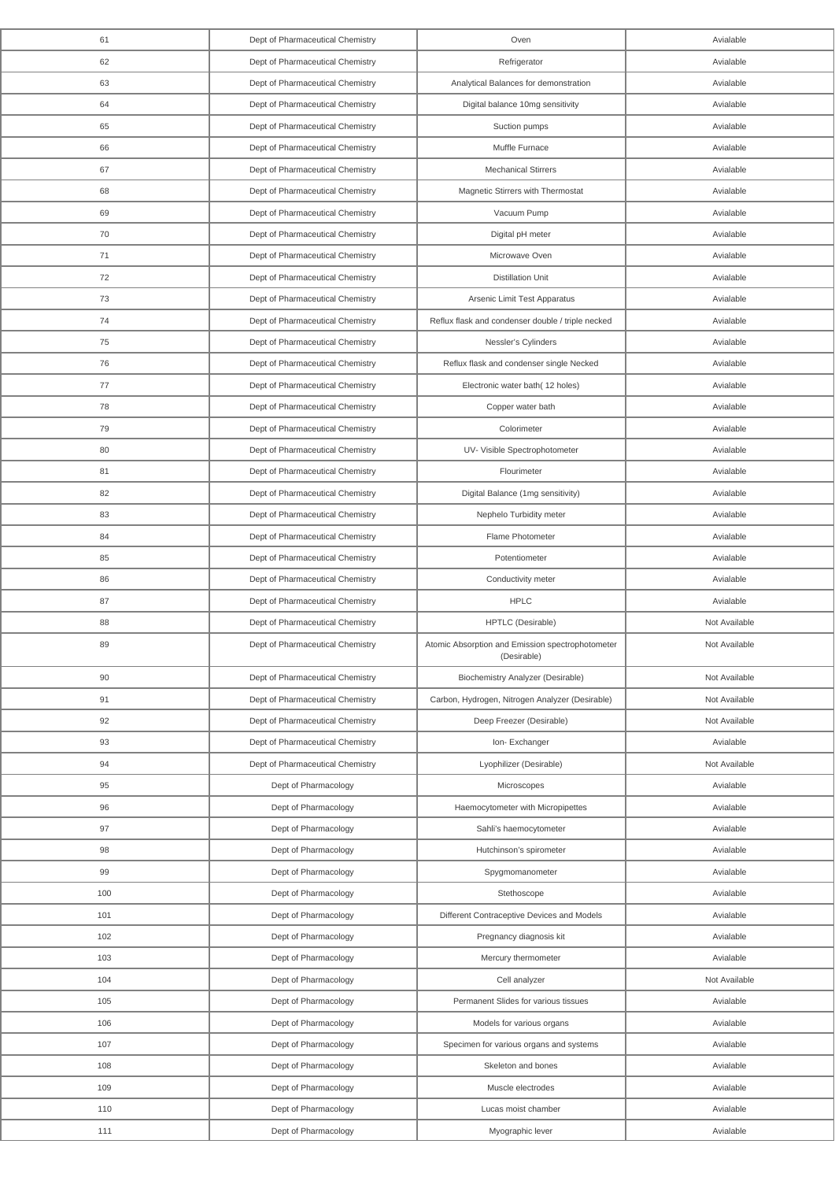| 61         | Dept of Pharmaceutical Chemistry             | Oven                                                            | Avialable                  |
|------------|----------------------------------------------|-----------------------------------------------------------------|----------------------------|
| 62         | Dept of Pharmaceutical Chemistry             | Refrigerator                                                    | Avialable                  |
| 63         | Dept of Pharmaceutical Chemistry             | Analytical Balances for demonstration                           | Avialable                  |
| 64         | Dept of Pharmaceutical Chemistry             | Digital balance 10mg sensitivity                                | Avialable                  |
| 65         | Dept of Pharmaceutical Chemistry             | Suction pumps                                                   | Avialable                  |
| 66         | Dept of Pharmaceutical Chemistry             | Muffle Furnace                                                  | Avialable                  |
| 67         | Dept of Pharmaceutical Chemistry             | <b>Mechanical Stirrers</b>                                      | Avialable                  |
| 68         | Dept of Pharmaceutical Chemistry             | Magnetic Stirrers with Thermostat                               | Avialable                  |
| 69         | Dept of Pharmaceutical Chemistry             | Vacuum Pump                                                     | Avialable                  |
| 70         | Dept of Pharmaceutical Chemistry             | Digital pH meter                                                | Avialable                  |
| 71         | Dept of Pharmaceutical Chemistry             | Microwave Oven                                                  | Avialable                  |
| 72         | Dept of Pharmaceutical Chemistry             | <b>Distillation Unit</b>                                        | Avialable                  |
| 73         | Dept of Pharmaceutical Chemistry             | Arsenic Limit Test Apparatus                                    | Avialable                  |
| 74         | Dept of Pharmaceutical Chemistry             | Reflux flask and condenser double / triple necked               | Avialable                  |
| 75         | Dept of Pharmaceutical Chemistry             | Nessler's Cylinders                                             | Avialable                  |
| 76         | Dept of Pharmaceutical Chemistry             | Reflux flask and condenser single Necked                        | Avialable                  |
| 77         | Dept of Pharmaceutical Chemistry             | Electronic water bath(12 holes)                                 | Avialable                  |
| 78         | Dept of Pharmaceutical Chemistry             | Copper water bath                                               | Avialable                  |
| 79         | Dept of Pharmaceutical Chemistry             | Colorimeter                                                     | Avialable                  |
| 80         | Dept of Pharmaceutical Chemistry             | UV- Visible Spectrophotometer                                   | Avialable                  |
| 81         | Dept of Pharmaceutical Chemistry             | Flourimeter                                                     | Avialable                  |
| 82         | Dept of Pharmaceutical Chemistry             | Digital Balance (1mg sensitivity)                               | Avialable                  |
| 83         | Dept of Pharmaceutical Chemistry             | Nephelo Turbidity meter                                         | Avialable                  |
| 84         | Dept of Pharmaceutical Chemistry             | Flame Photometer                                                | Avialable                  |
| 85         | Dept of Pharmaceutical Chemistry             | Potentiometer                                                   | Avialable                  |
| 86         | Dept of Pharmaceutical Chemistry             | Conductivity meter                                              | Avialable                  |
| 87         | Dept of Pharmaceutical Chemistry             | <b>HPLC</b>                                                     | Avialable                  |
| 88         | Dept of Pharmaceutical Chemistry             | HPTLC (Desirable)                                               | Not Available              |
| 89         | Dept of Pharmaceutical Chemistry             | Atomic Absorption and Emission spectrophotometer<br>(Desirable) | Not Available              |
| 90         | Dept of Pharmaceutical Chemistry             | Biochemistry Analyzer (Desirable)                               | Not Available              |
| 91         | Dept of Pharmaceutical Chemistry             | Carbon, Hydrogen, Nitrogen Analyzer (Desirable)                 | Not Available              |
| 92         | Dept of Pharmaceutical Chemistry             | Deep Freezer (Desirable)                                        | Not Available              |
| 93         | Dept of Pharmaceutical Chemistry             | Ion-Exchanger                                                   | Avialable                  |
| 94         | Dept of Pharmaceutical Chemistry             | Lyophilizer (Desirable)                                         | Not Available              |
| 95         | Dept of Pharmacology                         | Microscopes                                                     | Avialable                  |
| 96         | Dept of Pharmacology                         | Haemocytometer with Micropipettes                               | Avialable                  |
| 97         | Dept of Pharmacology                         | Sahli's haemocytometer                                          | Avialable                  |
| 98         | Dept of Pharmacology                         | Hutchinson's spirometer                                         | Avialable                  |
| 99         | Dept of Pharmacology                         | Spygmomanometer                                                 | Avialable                  |
| 100        | Dept of Pharmacology                         | Stethoscope                                                     | Avialable                  |
| 101        | Dept of Pharmacology                         | Different Contraceptive Devices and Models                      | Avialable                  |
| 102        | Dept of Pharmacology                         | Pregnancy diagnosis kit                                         | Avialable                  |
| 103        | Dept of Pharmacology                         | Mercury thermometer                                             | Avialable                  |
| 104<br>105 | Dept of Pharmacology<br>Dept of Pharmacology | Cell analyzer<br>Permanent Slides for various tissues           | Not Available<br>Avialable |
| 106        | Dept of Pharmacology                         | Models for various organs                                       | Avialable                  |
| 107        | Dept of Pharmacology                         | Specimen for various organs and systems                         | Avialable                  |
| 108        | Dept of Pharmacology                         | Skeleton and bones                                              | Avialable                  |
| 109        | Dept of Pharmacology                         | Muscle electrodes                                               | Avialable                  |
| 110        | Dept of Pharmacology                         | Lucas moist chamber                                             | Avialable                  |
| 111        | Dept of Pharmacology                         | Myographic lever                                                | Avialable                  |
|            |                                              |                                                                 |                            |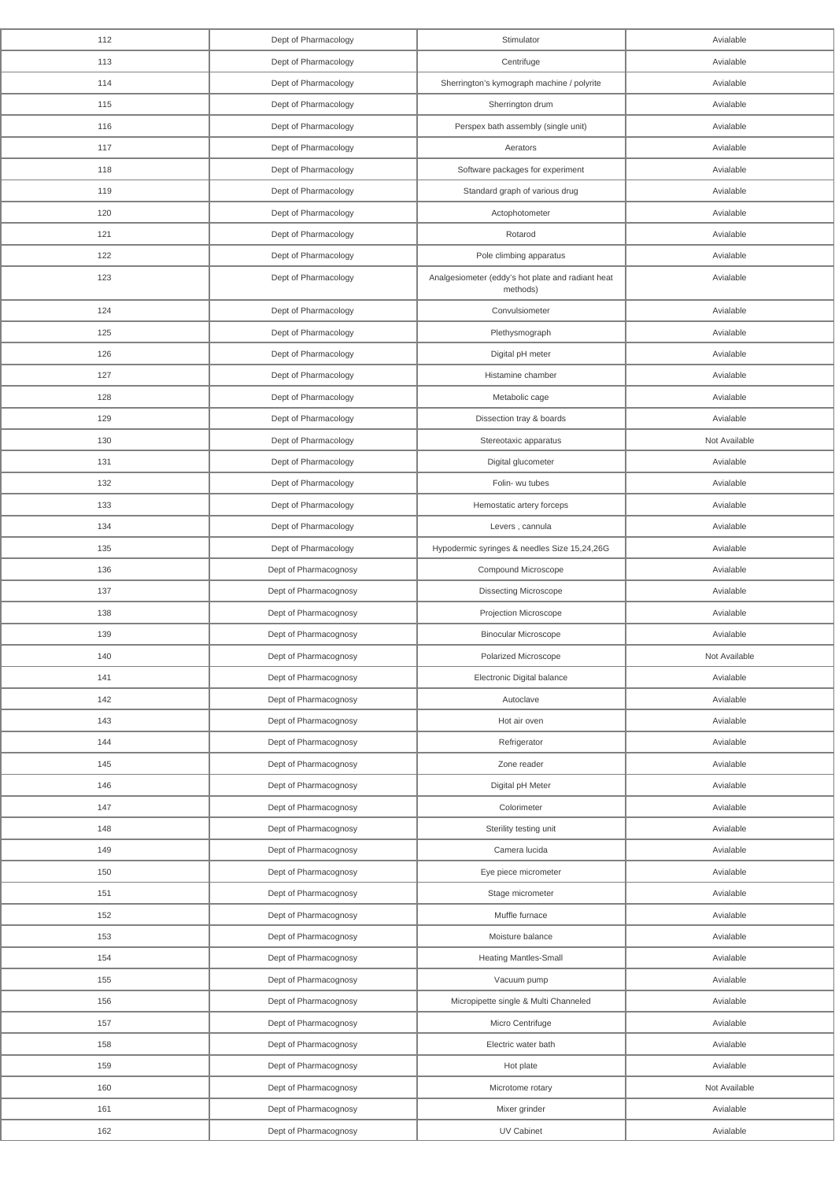| 112        | Dept of Pharmacology                           | Stimulator                                                    | Avialable              |
|------------|------------------------------------------------|---------------------------------------------------------------|------------------------|
| 113        | Dept of Pharmacology                           | Centrifuge                                                    | Avialable              |
| 114        | Dept of Pharmacology                           | Sherrington's kymograph machine / polyrite                    | Avialable              |
| 115        | Dept of Pharmacology                           | Sherrington drum                                              | Avialable              |
| 116        | Dept of Pharmacology                           | Perspex bath assembly (single unit)                           | Avialable              |
| 117        | Dept of Pharmacology                           | Aerators                                                      | Avialable              |
| 118        | Dept of Pharmacology                           | Software packages for experiment                              | Avialable              |
| 119        | Dept of Pharmacology                           | Standard graph of various drug                                | Avialable              |
| 120        | Dept of Pharmacology                           | Actophotometer                                                | Avialable              |
| 121        | Dept of Pharmacology                           | Rotarod                                                       | Avialable              |
| 122        | Dept of Pharmacology                           | Pole climbing apparatus                                       | Avialable              |
| 123        | Dept of Pharmacology                           | Analgesiometer (eddy's hot plate and radiant heat<br>methods) | Avialable              |
| 124        | Dept of Pharmacology                           | Convulsiometer                                                | Avialable              |
| 125        | Dept of Pharmacology                           | Plethysmograph                                                | Avialable              |
| 126        | Dept of Pharmacology                           | Digital pH meter                                              | Avialable              |
| 127        | Dept of Pharmacology                           | Histamine chamber                                             | Avialable              |
| 128        | Dept of Pharmacology                           | Metabolic cage                                                | Avialable              |
| 129        | Dept of Pharmacology                           | Dissection tray & boards                                      | Avialable              |
| 130        | Dept of Pharmacology                           | Stereotaxic apparatus                                         | Not Available          |
| 131        | Dept of Pharmacology                           | Digital glucometer                                            | Avialable              |
| 132        | Dept of Pharmacology                           | Folin- wu tubes                                               | Avialable              |
| 133        | Dept of Pharmacology                           | Hemostatic artery forceps                                     | Avialable              |
| 134        | Dept of Pharmacology                           | Levers, cannula                                               | Avialable              |
| 135        | Dept of Pharmacology                           | Hypodermic syringes & needles Size 15,24,26G                  | Avialable              |
| 136        | Dept of Pharmacognosy                          | Compound Microscope                                           | Avialable              |
| 137        | Dept of Pharmacognosy                          | Dissecting Microscope                                         | Avialable              |
| 138        | Dept of Pharmacognosy                          | Projection Microscope                                         | Avialable              |
| 139        | Dept of Pharmacognosy                          | <b>Binocular Microscope</b>                                   | Avialable              |
| 140        | Dept of Pharmacognosy                          | Polarized Microscope                                          | Not Available          |
| 141        | Dept of Pharmacognosy                          | Electronic Digital balance                                    | Avialable              |
| 142        | Dept of Pharmacognosy                          | Autoclave                                                     | Avialable              |
| 143        | Dept of Pharmacognosy                          | Hot air oven                                                  | Avialable              |
| 144        | Dept of Pharmacognosy                          | Refrigerator                                                  | Avialable              |
| 145        | Dept of Pharmacognosy                          | Zone reader                                                   | Avialable              |
| 146        | Dept of Pharmacognosy                          | Digital pH Meter                                              | Avialable              |
| 147<br>148 | Dept of Pharmacognosy<br>Dept of Pharmacognosy | Colorimeter<br>Sterility testing unit                         | Avialable<br>Avialable |
|            |                                                |                                                               |                        |
| 149<br>150 | Dept of Pharmacognosy<br>Dept of Pharmacognosy | Camera lucida<br>Eye piece micrometer                         | Avialable<br>Avialable |
|            |                                                |                                                               |                        |
| 151        | Dept of Pharmacognosy                          | Stage micrometer                                              | Avialable              |
| 152<br>153 | Dept of Pharmacognosy<br>Dept of Pharmacognosy | Muffle furnace<br>Moisture balance                            | Avialable<br>Avialable |
| 154        | Dept of Pharmacognosy                          | <b>Heating Mantles-Small</b>                                  | Avialable              |
| 155        | Dept of Pharmacognosy                          | Vacuum pump                                                   | Avialable              |
| 156        | Dept of Pharmacognosy                          | Micropipette single & Multi Channeled                         | Avialable              |
| 157        | Dept of Pharmacognosy                          | Micro Centrifuge                                              | Avialable              |
| 158        | Dept of Pharmacognosy                          | Electric water bath                                           | Avialable              |
| 159        | Dept of Pharmacognosy                          | Hot plate                                                     | Avialable              |
| 160        | Dept of Pharmacognosy                          | Microtome rotary                                              | Not Available          |
| 161        | Dept of Pharmacognosy                          | Mixer grinder                                                 | Avialable              |
| 162        | Dept of Pharmacognosy                          | UV Cabinet                                                    | Avialable              |
|            |                                                |                                                               |                        |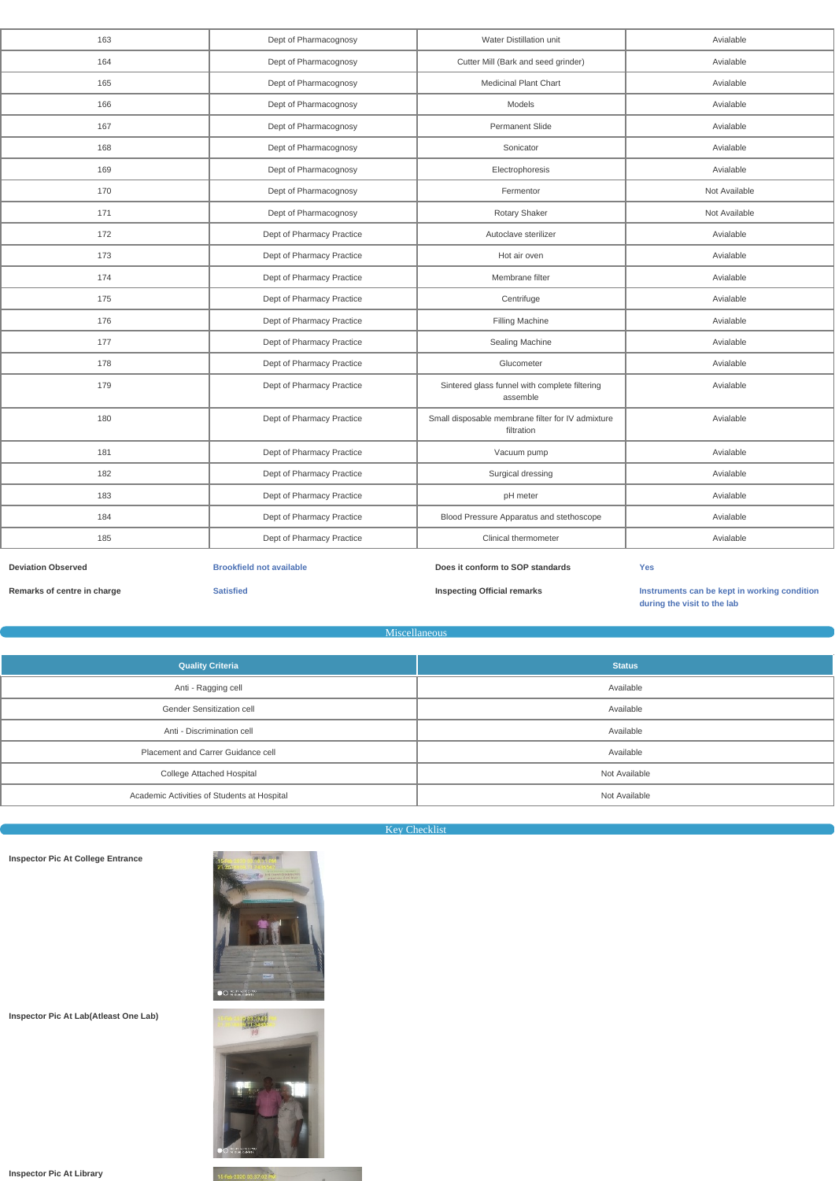| 163 | Dept of Pharmacognosy     | Water Distillation unit                                         | Avialable     |
|-----|---------------------------|-----------------------------------------------------------------|---------------|
| 164 | Dept of Pharmacognosy     | Cutter Mill (Bark and seed grinder)                             | Avialable     |
| 165 | Dept of Pharmacognosy     | <b>Medicinal Plant Chart</b>                                    | Avialable     |
| 166 | Dept of Pharmacognosy     | Models                                                          | Avialable     |
| 167 | Dept of Pharmacognosy     | <b>Permanent Slide</b>                                          | Avialable     |
| 168 | Dept of Pharmacognosy     | Sonicator                                                       | Avialable     |
| 169 | Dept of Pharmacognosy     | Electrophoresis                                                 | Avialable     |
| 170 | Dept of Pharmacognosy     | Fermentor                                                       | Not Available |
| 171 | Dept of Pharmacognosy     | Rotary Shaker                                                   | Not Available |
| 172 | Dept of Pharmacy Practice | Autoclave sterilizer                                            | Avialable     |
| 173 | Dept of Pharmacy Practice | Hot air oven                                                    | Avialable     |
| 174 | Dept of Pharmacy Practice | Membrane filter                                                 | Avialable     |
| 175 | Dept of Pharmacy Practice | Centrifuge                                                      | Avialable     |
| 176 | Dept of Pharmacy Practice | Filling Machine                                                 | Avialable     |
| 177 | Dept of Pharmacy Practice | Sealing Machine                                                 | Avialable     |
| 178 | Dept of Pharmacy Practice | Glucometer                                                      | Avialable     |
| 179 | Dept of Pharmacy Practice | Sintered glass funnel with complete filtering<br>assemble       | Avialable     |
| 180 | Dept of Pharmacy Practice | Small disposable membrane filter for IV admixture<br>filtration | Avialable     |
| 181 | Dept of Pharmacy Practice | Vacuum pump                                                     | Avialable     |
| 182 | Dept of Pharmacy Practice | Surgical dressing                                               | Avialable     |
| 183 | Dept of Pharmacy Practice | pH meter                                                        | Avialable     |
| 184 | Dept of Pharmacy Practice | Blood Pressure Apparatus and stethoscope                        | Avialable     |
| 185 | Dept of Pharmacy Practice | Clinical thermometer                                            | Avialable     |
|     |                           |                                                                 |               |

**Deviation Observed Brookfield not available Brookfield not available Does it conform to SOP standards Yes** 

**Remarks of centre in charge Satisfied Inspecting Official remarks Instruments can be kept in working condition during the visit to the lab**

Miscellaneous

| <b>Quality Criteria</b>                     | <b>Status</b> |
|---------------------------------------------|---------------|
| Anti - Ragging cell                         | Available     |
| <b>Gender Sensitization cell</b>            | Available     |
| Anti - Discrimination cell                  | Available     |
| Placement and Carrer Guidance cell          | Available     |
| <b>College Attached Hospital</b>            | Not Available |
| Academic Activities of Students at Hospital | Not Available |
|                                             |               |

Key Checklist



**Inspector Pic At Lab(Atleast One Lab)**

**Inspector Pic At Library**

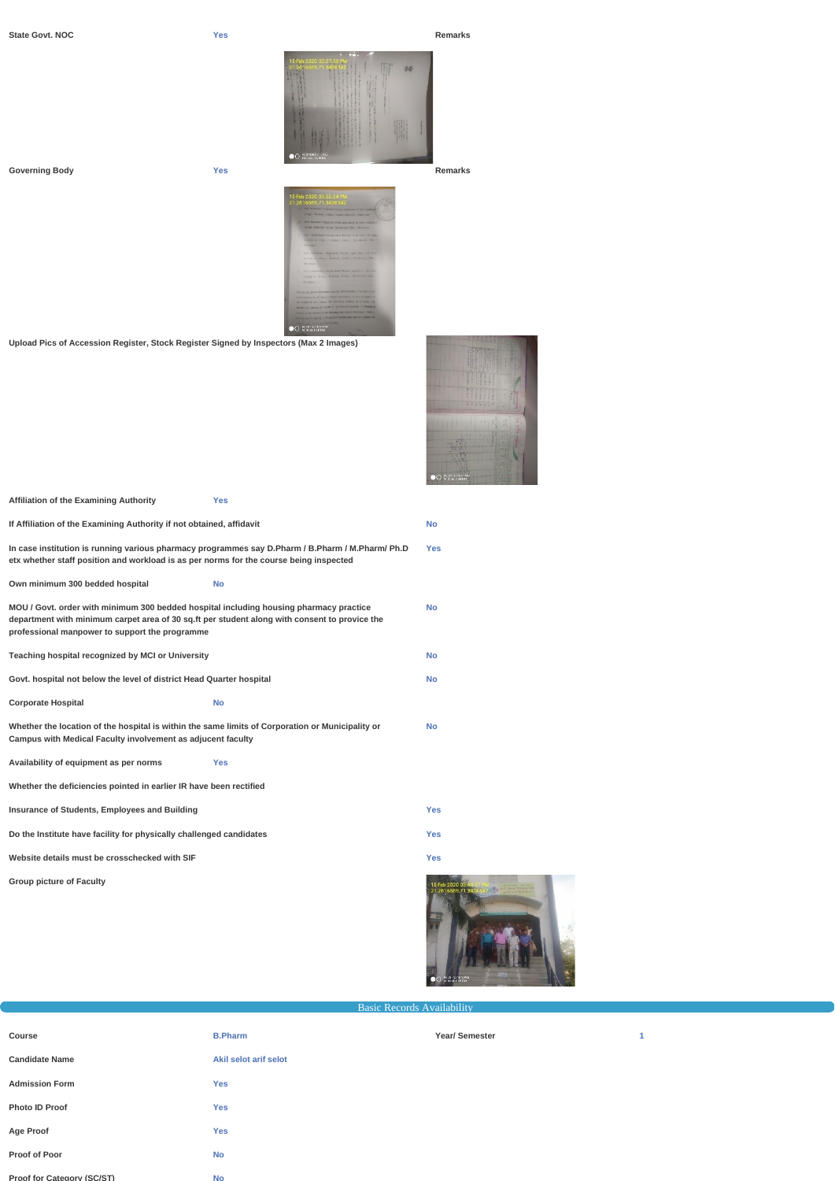

### **Governing Body Yes Remarks**



**Upload Pics of Accession Register, Stock Register Signed by Inspectors (Max 2 Images)**



**Yes**



| <b>Affiliation of the Examining Authority</b><br><b>Yes</b>                                                                                                                                                                               |            |  |  |  |
|-------------------------------------------------------------------------------------------------------------------------------------------------------------------------------------------------------------------------------------------|------------|--|--|--|
| If Affiliation of the Examining Authority if not obtained, affidavit                                                                                                                                                                      | <b>No</b>  |  |  |  |
| In case institution is running various pharmacy programmes say D.Pharm / B.Pharm / M.Pharm/ Ph.D<br>etx whether staff position and workload is as per norms for the course being inspected                                                | <b>Yes</b> |  |  |  |
| Own minimum 300 bedded hospital<br><b>No</b>                                                                                                                                                                                              |            |  |  |  |
| MOU / Govt. order with minimum 300 bedded hospital including housing pharmacy practice<br>department with minimum carpet area of 30 sq.ft per student along with consent to provice the<br>professional manpower to support the programme | <b>No</b>  |  |  |  |
| <b>Teaching hospital recognized by MCI or University</b>                                                                                                                                                                                  |            |  |  |  |
| Govt. hospital not below the level of district Head Quarter hospital                                                                                                                                                                      |            |  |  |  |
| <b>Corporate Hospital</b><br><b>No</b>                                                                                                                                                                                                    |            |  |  |  |
| Whether the location of the hospital is within the same limits of Corporation or Municipality or<br><b>No</b><br>Campus with Medical Faculty involvement as adjucent faculty                                                              |            |  |  |  |
| Availability of equipment as per norms<br><b>Yes</b>                                                                                                                                                                                      |            |  |  |  |
| Whether the deficiencies pointed in earlier IR have been rectified                                                                                                                                                                        |            |  |  |  |
| <b>Insurance of Students, Employees and Building</b>                                                                                                                                                                                      | <b>Yes</b> |  |  |  |
| Do the Institute have facility for physically challenged candidates                                                                                                                                                                       |            |  |  |  |
| Website details must be crosschecked with SIF                                                                                                                                                                                             | <b>Yes</b> |  |  |  |

**Group picture of Faculty**



# Basic Records Availability

| <b>Course</b>              | <b>B.Pharm</b>        | <b>Year/Semester</b> |  |
|----------------------------|-----------------------|----------------------|--|
| <b>Candidate Name</b>      | Akil selot arif selot |                      |  |
| <b>Admission Form</b>      | <b>Yes</b>            |                      |  |
| <b>Photo ID Proof</b>      | <b>Yes</b>            |                      |  |
| <b>Age Proof</b>           | <b>Yes</b>            |                      |  |
| <b>Proof of Poor</b>       | <b>No</b>             |                      |  |
| Proof for Category (SC/ST) | No                    |                      |  |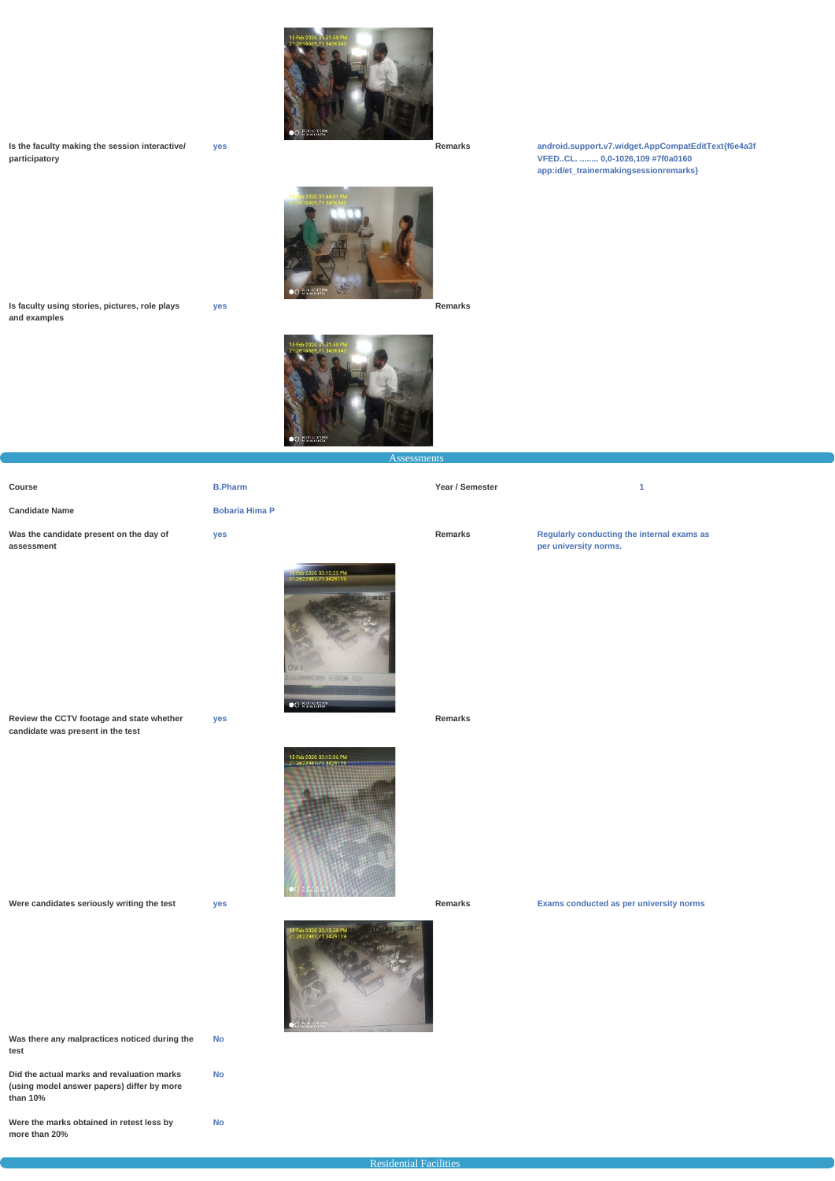

**Is the faculty making the session interactive/ participatory**

**yes Remarks android.support.v7.widget.AppCompatEditText{f6e4a3f VFED..CL. ........ 0,0-1026,109 #7f0a0160 app:id/et\_trainermakingsessionremarks}**

**Assessments** 

**Is faculty using stories, pictures, role plays and examples**

## **yes Remarks**



**Course B.Pharm Year / Semester 1**

**Was the candidate present on the day of**

**assessment**



**yes Remarks Regularly conducting the internal exams as per university norms.**

**Candidate Name Bobaria Hima P** 

**Review the CCTV footage and state whether candidate was present in the test**



### **Were candidates seriously writing the test yes Remarks Exams conducted as per university norms**



**Was there any malpractices noticed during the test No**

**Did the actual marks and revaluation marks (using model answer papers) differ by more than 10%**

**No**

**Were the marks obtained in retest less by more than 20%**

**No**

### Residential Facilities